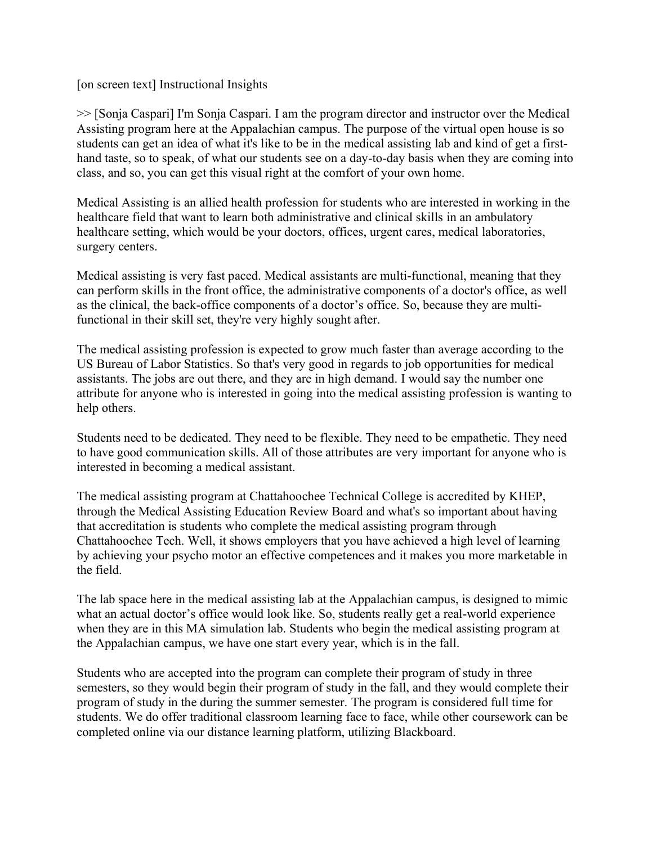[on screen text] Instructional Insights

>> [Sonja Caspari] I'm Sonja Caspari. I am the program director and instructor over the Medical Assisting program here at the Appalachian campus. The purpose of the virtual open house is so students can get an idea of what it's like to be in the medical assisting lab and kind of get a firsthand taste, so to speak, of what our students see on a day-to-day basis when they are coming into class, and so, you can get this visual right at the comfort of your own home.

Medical Assisting is an allied health profession for students who are interested in working in the healthcare field that want to learn both administrative and clinical skills in an ambulatory healthcare setting, which would be your doctors, offices, urgent cares, medical laboratories, surgery centers.

Medical assisting is very fast paced. Medical assistants are multi-functional, meaning that they can perform skills in the front office, the administrative components of a doctor's office, as well as the clinical, the back-office components of a doctor's office. So, because they are multifunctional in their skill set, they're very highly sought after.

The medical assisting profession is expected to grow much faster than average according to the US Bureau of Labor Statistics. So that's very good in regards to job opportunities for medical assistants. The jobs are out there, and they are in high demand. I would say the number one attribute for anyone who is interested in going into the medical assisting profession is wanting to help others.

Students need to be dedicated. They need to be flexible. They need to be empathetic. They need to have good communication skills. All of those attributes are very important for anyone who is interested in becoming a medical assistant.

The medical assisting program at Chattahoochee Technical College is accredited by KHEP, through the Medical Assisting Education Review Board and what's so important about having that accreditation is students who complete the medical assisting program through Chattahoochee Tech. Well, it shows employers that you have achieved a high level of learning by achieving your psycho motor an effective competences and it makes you more marketable in the field.

The lab space here in the medical assisting lab at the Appalachian campus, is designed to mimic what an actual doctor's office would look like. So, students really get a real-world experience when they are in this MA simulation lab. Students who begin the medical assisting program at the Appalachian campus, we have one start every year, which is in the fall.

Students who are accepted into the program can complete their program of study in three semesters, so they would begin their program of study in the fall, and they would complete their program of study in the during the summer semester. The program is considered full time for students. We do offer traditional classroom learning face to face, while other coursework can be completed online via our distance learning platform, utilizing Blackboard.